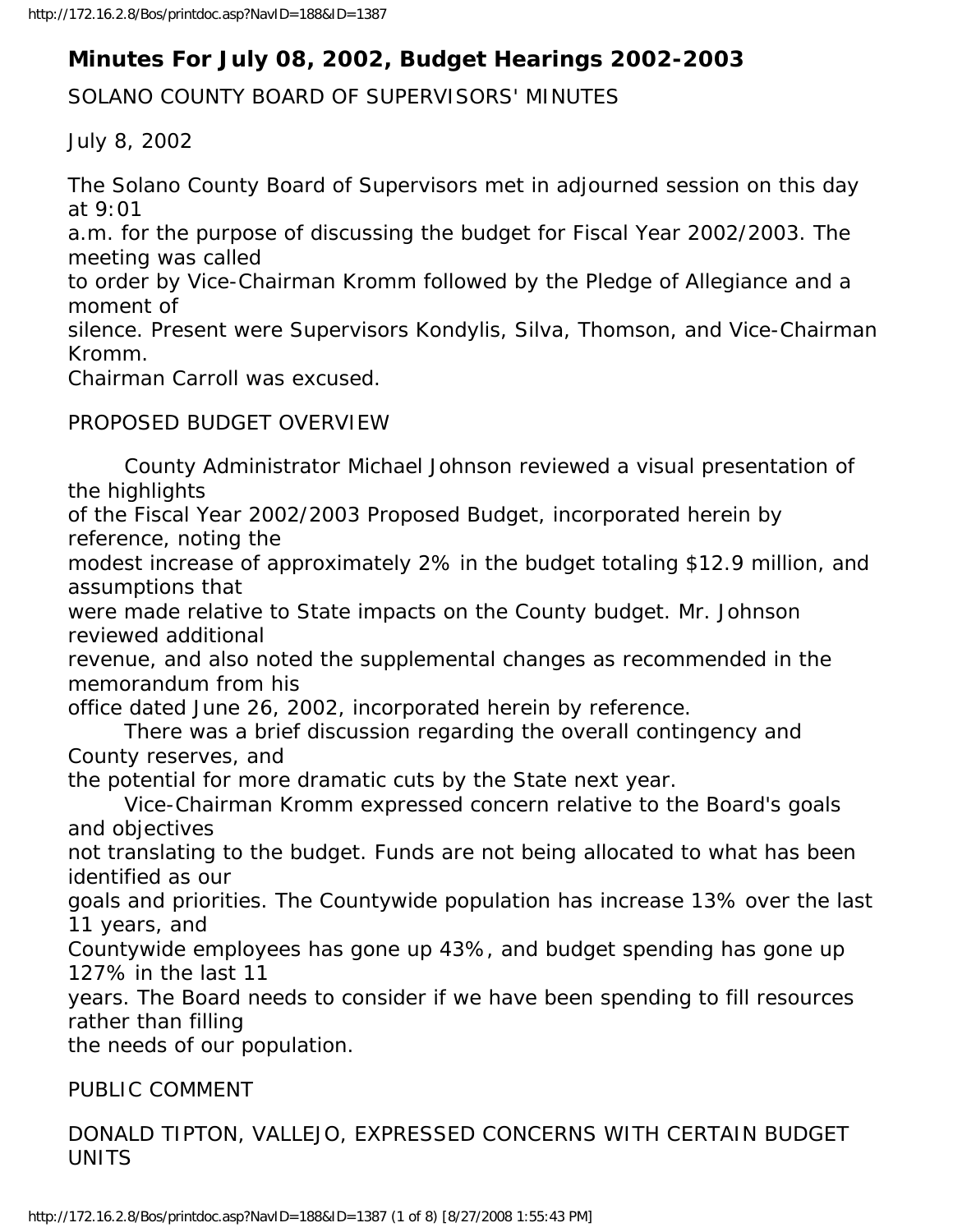# **Minutes For July 08, 2002, Budget Hearings 2002-2003**

SOLANO COUNTY BOARD OF SUPERVISORS' MINUTES

July 8, 2002

The Solano County Board of Supervisors met in adjourned session on this day at 9:01

a.m. for the purpose of discussing the budget for Fiscal Year 2002/2003. The meeting was called

to order by Vice-Chairman Kromm followed by the Pledge of Allegiance and a moment of

silence. Present were Supervisors Kondylis, Silva, Thomson, and Vice-Chairman Kromm.

Chairman Carroll was excused.

# PROPOSED BUDGET OVERVIEW

 County Administrator Michael Johnson reviewed a visual presentation of the highlights

of the Fiscal Year 2002/2003 Proposed Budget, incorporated herein by reference, noting the

modest increase of approximately 2% in the budget totaling \$12.9 million, and assumptions that

were made relative to State impacts on the County budget. Mr. Johnson reviewed additional

revenue, and also noted the supplemental changes as recommended in the memorandum from his

office dated June 26, 2002, incorporated herein by reference.

 There was a brief discussion regarding the overall contingency and County reserves, and

the potential for more dramatic cuts by the State next year.

 Vice-Chairman Kromm expressed concern relative to the Board's goals and objectives

not translating to the budget. Funds are not being allocated to what has been identified as our

goals and priorities. The Countywide population has increase 13% over the last 11 years, and

Countywide employees has gone up 43%, and budget spending has gone up 127% in the last 11

years. The Board needs to consider if we have been spending to fill resources rather than filling

the needs of our population.

PUBLIC COMMENT

DONALD TIPTON, VALLEJO, EXPRESSED CONCERNS WITH CERTAIN BUDGET UNITS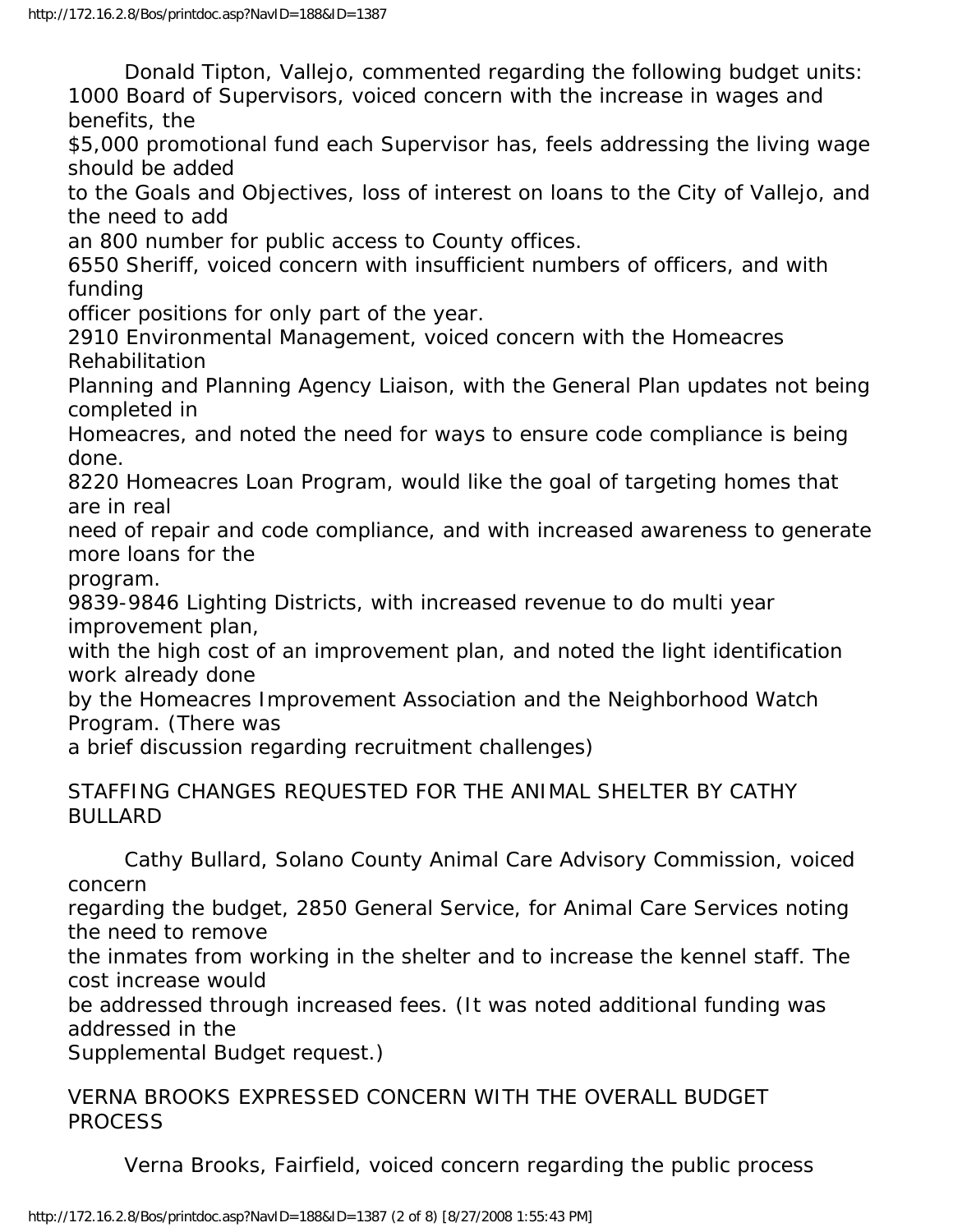Donald Tipton, Vallejo, commented regarding the following budget units: 1000 Board of Supervisors, voiced concern with the increase in wages and benefits, the

\$5,000 promotional fund each Supervisor has, feels addressing the living wage should be added

to the Goals and Objectives, loss of interest on loans to the City of Vallejo, and the need to add

an 800 number for public access to County offices.

6550 Sheriff, voiced concern with insufficient numbers of officers, and with funding

officer positions for only part of the year.

2910 Environmental Management, voiced concern with the Homeacres Rehabilitation

Planning and Planning Agency Liaison, with the General Plan updates not being completed in

Homeacres, and noted the need for ways to ensure code compliance is being done.

8220 Homeacres Loan Program, would like the goal of targeting homes that are in real

need of repair and code compliance, and with increased awareness to generate more loans for the

program.

9839-9846 Lighting Districts, with increased revenue to do multi year improvement plan,

with the high cost of an improvement plan, and noted the light identification work already done

by the Homeacres Improvement Association and the Neighborhood Watch Program. (There was

a brief discussion regarding recruitment challenges)

## STAFFING CHANGES REQUESTED FOR THE ANIMAL SHELTER BY CATHY BULLARD

 Cathy Bullard, Solano County Animal Care Advisory Commission, voiced concern

regarding the budget, 2850 General Service, for Animal Care Services noting the need to remove

the inmates from working in the shelter and to increase the kennel staff. The cost increase would

be addressed through increased fees. (It was noted additional funding was addressed in the

Supplemental Budget request.)

VERNA BROOKS EXPRESSED CONCERN WITH THE OVERALL BUDGET PROCESS

Verna Brooks, Fairfield, voiced concern regarding the public process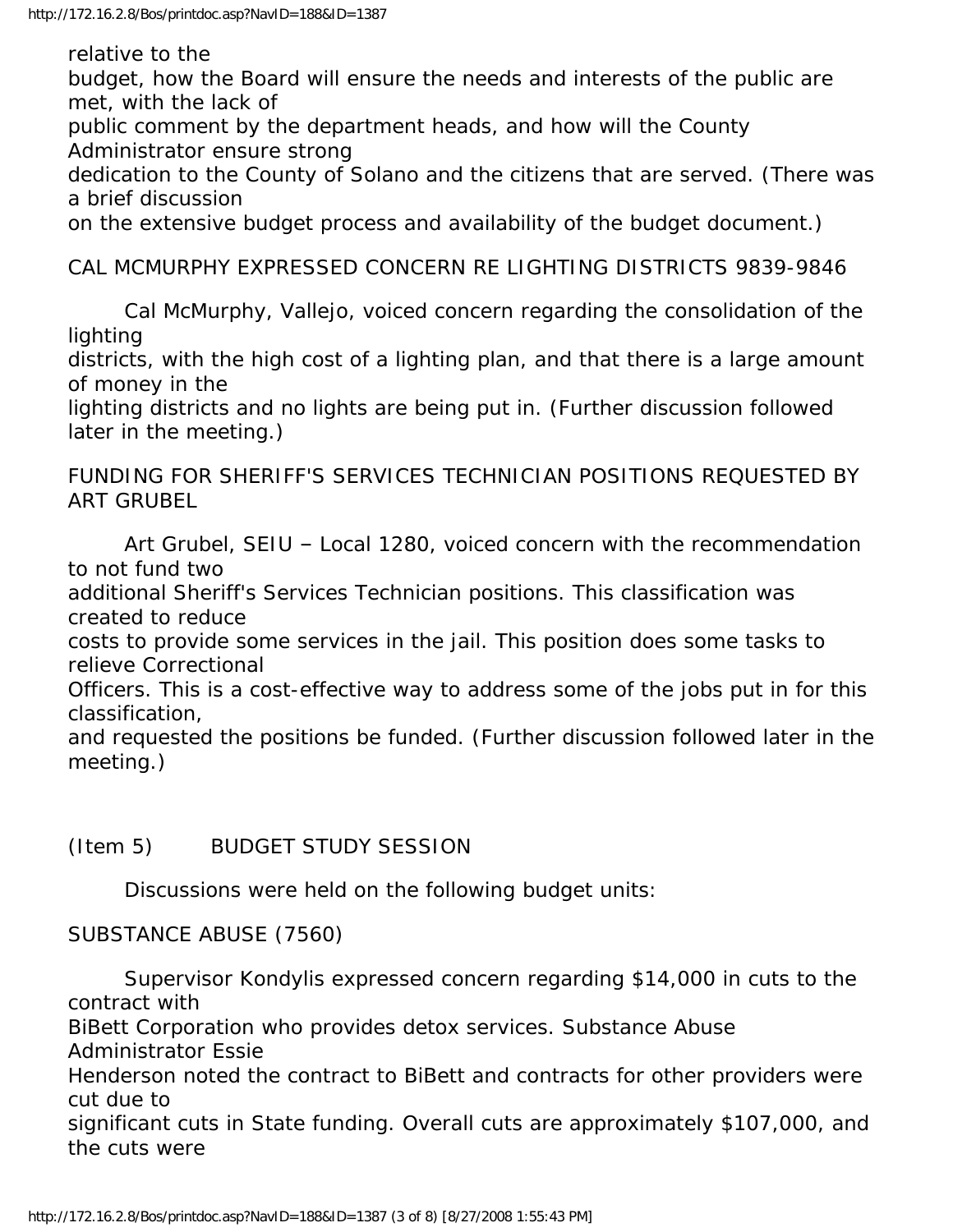relative to the

budget, how the Board will ensure the needs and interests of the public are met, with the lack of

public comment by the department heads, and how will the County Administrator ensure strong

dedication to the County of Solano and the citizens that are served. (There was a brief discussion

on the extensive budget process and availability of the budget document.)

#### CAL MCMURPHY EXPRESSED CONCERN RE LIGHTING DISTRICTS 9839-9846

 Cal McMurphy, Vallejo, voiced concern regarding the consolidation of the lighting

districts, with the high cost of a lighting plan, and that there is a large amount of money in the

lighting districts and no lights are being put in. (Further discussion followed later in the meeting.)

FUNDING FOR SHERIFF'S SERVICES TECHNICIAN POSITIONS REQUESTED BY ART GRUBEL

 Art Grubel, SEIU – Local 1280, voiced concern with the recommendation to not fund two

additional Sheriff's Services Technician positions. This classification was created to reduce

costs to provide some services in the jail. This position does some tasks to relieve Correctional

Officers. This is a cost-effective way to address some of the jobs put in for this classification,

and requested the positions be funded. (Further discussion followed later in the meeting.)

# (Item 5) BUDGET STUDY SESSION

Discussions were held on the following budget units:

#### SUBSTANCE ABUSE (7560)

 Supervisor Kondylis expressed concern regarding \$14,000 in cuts to the contract with BiBett Corporation who provides detox services. Substance Abuse Administrator Essie Henderson noted the contract to BiBett and contracts for other providers were cut due to significant cuts in State funding. Overall cuts are approximately \$107,000, and the cuts were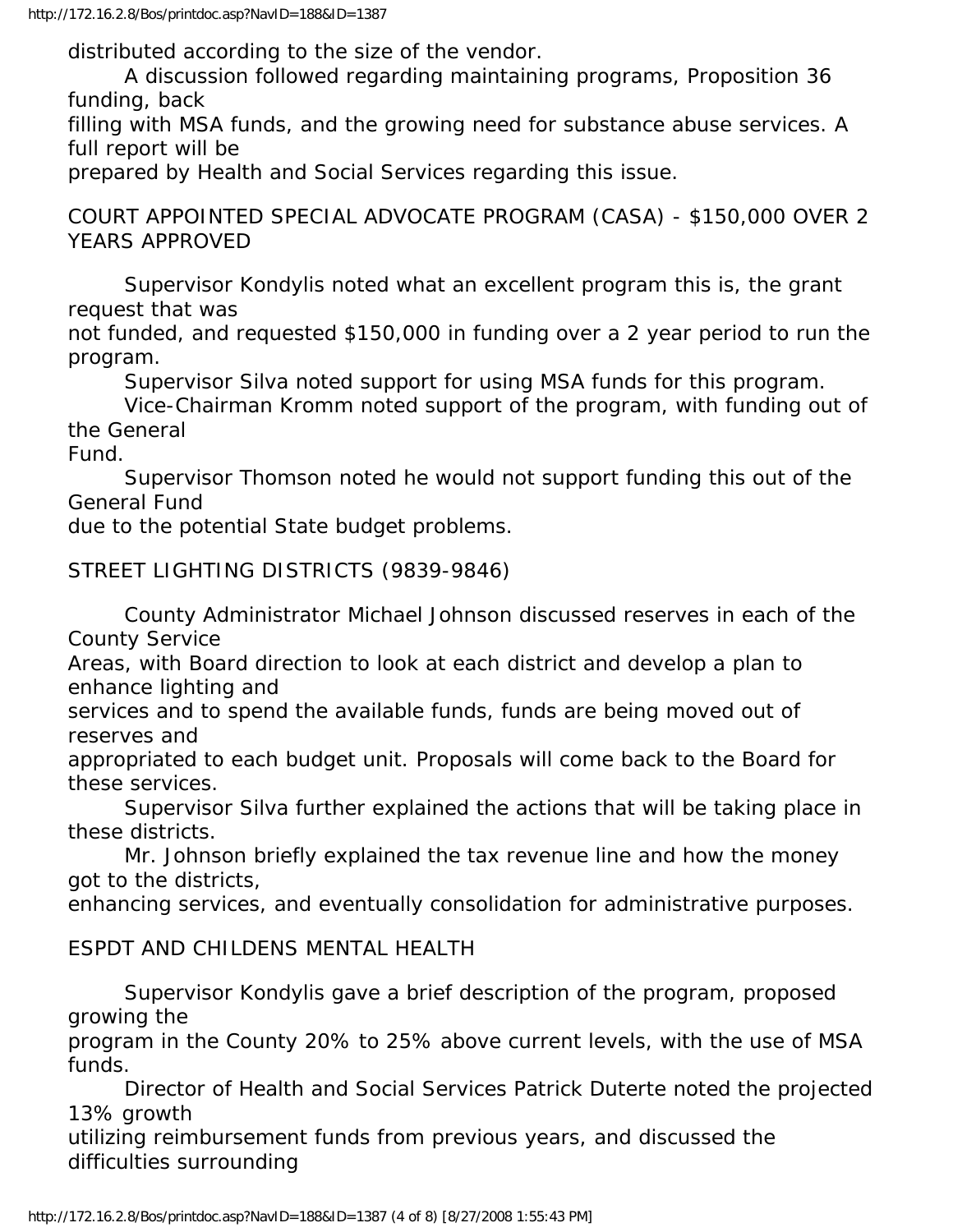distributed according to the size of the vendor.

 A discussion followed regarding maintaining programs, Proposition 36 funding, back

filling with MSA funds, and the growing need for substance abuse services. A full report will be

prepared by Health and Social Services regarding this issue.

COURT APPOINTED SPECIAL ADVOCATE PROGRAM (CASA) - \$150,000 OVER 2 YEARS APPROVED

 Supervisor Kondylis noted what an excellent program this is, the grant request that was

not funded, and requested \$150,000 in funding over a 2 year period to run the program.

Supervisor Silva noted support for using MSA funds for this program.

 Vice-Chairman Kromm noted support of the program, with funding out of the General

Fund.

 Supervisor Thomson noted he would not support funding this out of the General Fund

due to the potential State budget problems.

STREET LIGHTING DISTRICTS (9839-9846)

 County Administrator Michael Johnson discussed reserves in each of the County Service

Areas, with Board direction to look at each district and develop a plan to enhance lighting and

services and to spend the available funds, funds are being moved out of reserves and

appropriated to each budget unit. Proposals will come back to the Board for these services.

 Supervisor Silva further explained the actions that will be taking place in these districts.

 Mr. Johnson briefly explained the tax revenue line and how the money got to the districts,

enhancing services, and eventually consolidation for administrative purposes.

#### ESPDT AND CHILDENS MENTAL HEALTH

 Supervisor Kondylis gave a brief description of the program, proposed growing the

program in the County 20% to 25% above current levels, with the use of MSA funds.

 Director of Health and Social Services Patrick Duterte noted the projected 13% growth

utilizing reimbursement funds from previous years, and discussed the difficulties surrounding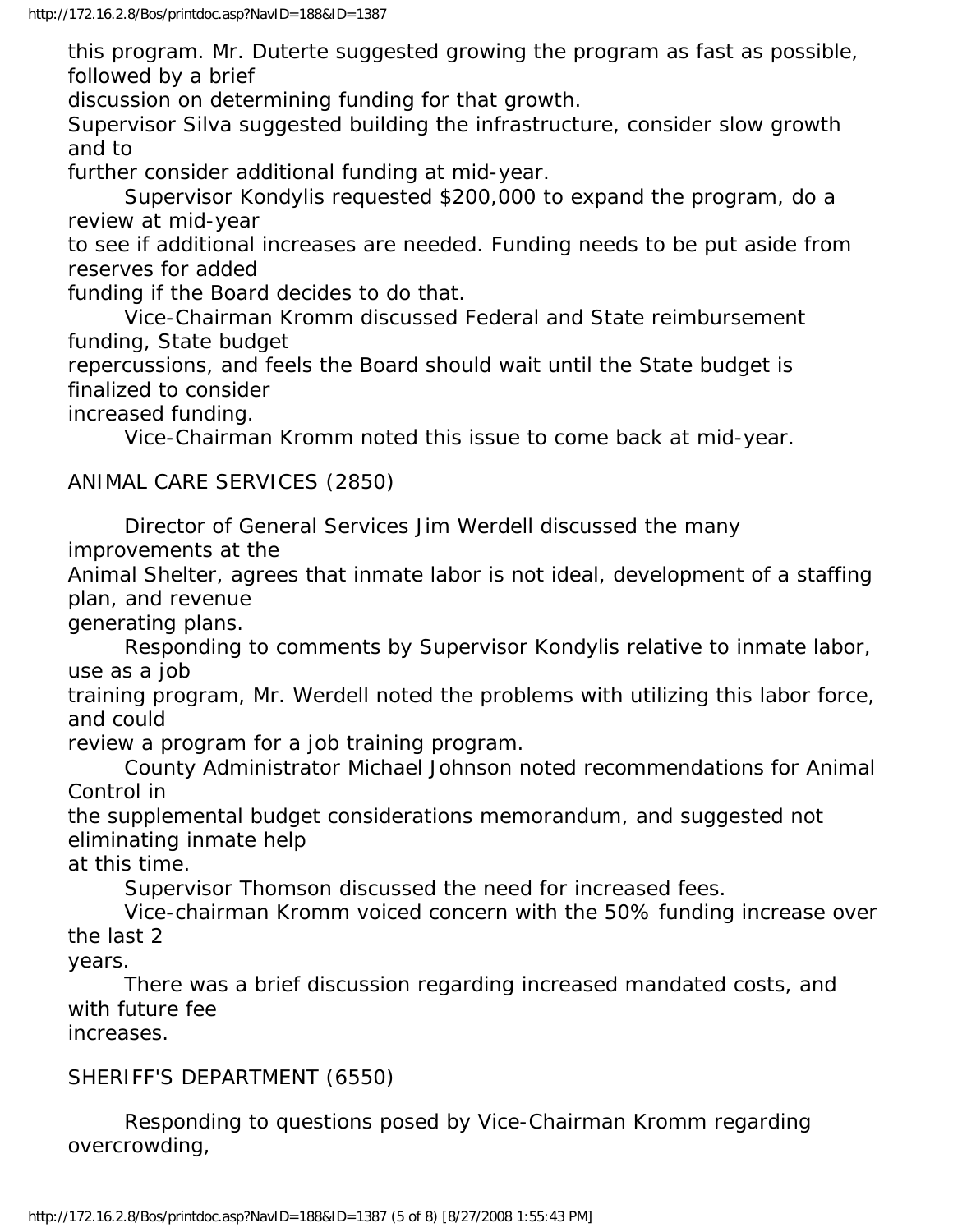this program. Mr. Duterte suggested growing the program as fast as possible, followed by a brief

discussion on determining funding for that growth.

Supervisor Silva suggested building the infrastructure, consider slow growth and to

further consider additional funding at mid-year.

 Supervisor Kondylis requested \$200,000 to expand the program, do a review at mid-year

to see if additional increases are needed. Funding needs to be put aside from reserves for added

funding if the Board decides to do that.

 Vice-Chairman Kromm discussed Federal and State reimbursement funding, State budget

repercussions, and feels the Board should wait until the State budget is finalized to consider

increased funding.

Vice-Chairman Kromm noted this issue to come back at mid-year.

## ANIMAL CARE SERVICES (2850)

 Director of General Services Jim Werdell discussed the many improvements at the

Animal Shelter, agrees that inmate labor is not ideal, development of a staffing plan, and revenue

generating plans.

 Responding to comments by Supervisor Kondylis relative to inmate labor, use as a job

training program, Mr. Werdell noted the problems with utilizing this labor force, and could

review a program for a job training program.

 County Administrator Michael Johnson noted recommendations for Animal Control in

the supplemental budget considerations memorandum, and suggested not eliminating inmate help

at this time.

Supervisor Thomson discussed the need for increased fees.

 Vice-chairman Kromm voiced concern with the 50% funding increase over the last 2

years.

 There was a brief discussion regarding increased mandated costs, and with future fee

increases.

# SHERIFF'S DEPARTMENT (6550)

 Responding to questions posed by Vice-Chairman Kromm regarding overcrowding,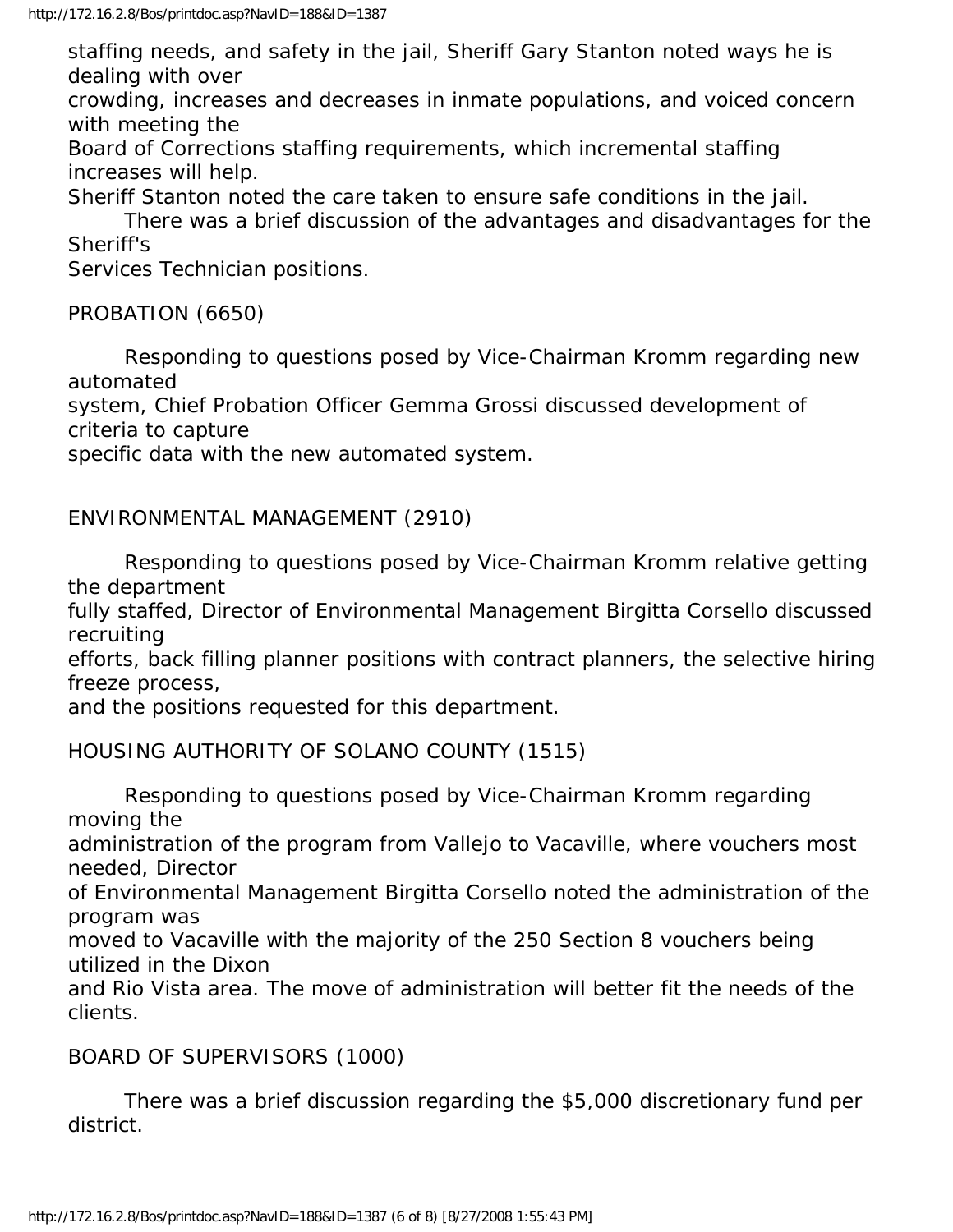staffing needs, and safety in the jail, Sheriff Gary Stanton noted ways he is dealing with over

crowding, increases and decreases in inmate populations, and voiced concern with meeting the

Board of Corrections staffing requirements, which incremental staffing increases will help.

Sheriff Stanton noted the care taken to ensure safe conditions in the jail.

 There was a brief discussion of the advantages and disadvantages for the Sheriff's

Services Technician positions.

## PROBATION (6650)

 Responding to questions posed by Vice-Chairman Kromm regarding new automated

system, Chief Probation Officer Gemma Grossi discussed development of criteria to capture

specific data with the new automated system.

ENVIRONMENTAL MANAGEMENT (2910)

 Responding to questions posed by Vice-Chairman Kromm relative getting the department

fully staffed, Director of Environmental Management Birgitta Corsello discussed recruiting

efforts, back filling planner positions with contract planners, the selective hiring freeze process,

and the positions requested for this department.

HOUSING AUTHORITY OF SOLANO COUNTY (1515)

 Responding to questions posed by Vice-Chairman Kromm regarding moving the

administration of the program from Vallejo to Vacaville, where vouchers most needed, Director

of Environmental Management Birgitta Corsello noted the administration of the program was

moved to Vacaville with the majority of the 250 Section 8 vouchers being utilized in the Dixon

and Rio Vista area. The move of administration will better fit the needs of the clients.

#### BOARD OF SUPERVISORS (1000)

 There was a brief discussion regarding the \$5,000 discretionary fund per district.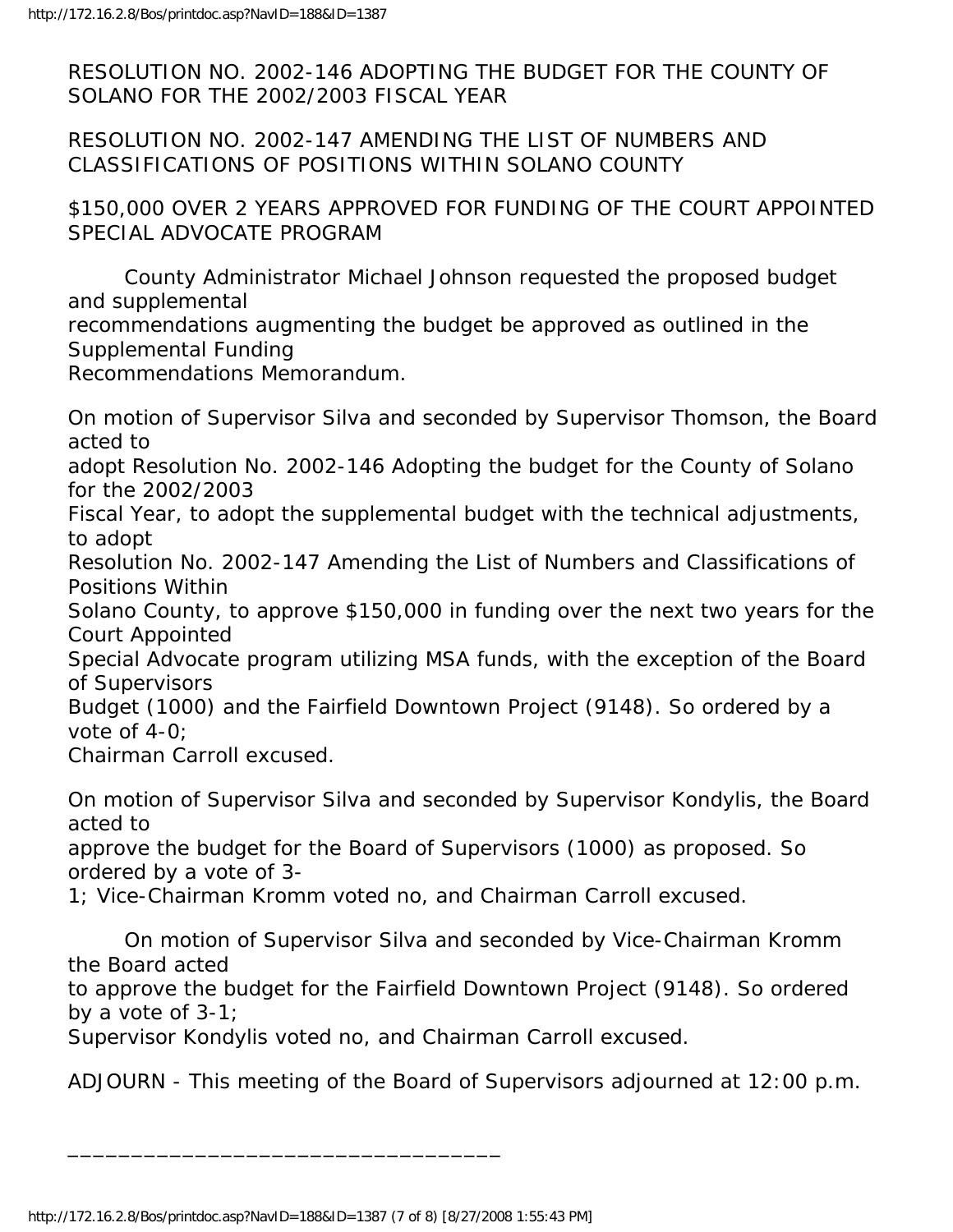RESOLUTION NO. 2002-146 ADOPTING THE BUDGET FOR THE COUNTY OF SOLANO FOR THE 2002/2003 FISCAL YEAR

RESOLUTION NO. 2002-147 AMENDING THE LIST OF NUMBERS AND CLASSIFICATIONS OF POSITIONS WITHIN SOLANO COUNTY

\$150,000 OVER 2 YEARS APPROVED FOR FUNDING OF THE COURT APPOINTED SPECIAL ADVOCATE PROGRAM

 County Administrator Michael Johnson requested the proposed budget and supplemental

recommendations augmenting the budget be approved as outlined in the Supplemental Funding

Recommendations Memorandum.

On motion of Supervisor Silva and seconded by Supervisor Thomson, the Board acted to

adopt Resolution No. 2002-146 Adopting the budget for the County of Solano for the 2002/2003

Fiscal Year, to adopt the supplemental budget with the technical adjustments, to adopt

Resolution No. 2002-147 Amending the List of Numbers and Classifications of Positions Within

Solano County, to approve \$150,000 in funding over the next two years for the Court Appointed

Special Advocate program utilizing MSA funds, with the exception of the Board of Supervisors

Budget (1000) and the Fairfield Downtown Project (9148). So ordered by a vote of 4-0;

Chairman Carroll excused.

On motion of Supervisor Silva and seconded by Supervisor Kondylis, the Board acted to

approve the budget for the Board of Supervisors (1000) as proposed. So ordered by a vote of 3-

1; Vice-Chairman Kromm voted no, and Chairman Carroll excused.

 On motion of Supervisor Silva and seconded by Vice-Chairman Kromm the Board acted

to approve the budget for the Fairfield Downtown Project (9148). So ordered by a vote of 3-1;

Supervisor Kondylis voted no, and Chairman Carroll excused.

ADJOURN - This meeting of the Board of Supervisors adjourned at 12:00 p.m.

\_\_\_\_\_\_\_\_\_\_\_\_\_\_\_\_\_\_\_\_\_\_\_\_\_\_\_\_\_\_\_\_\_\_